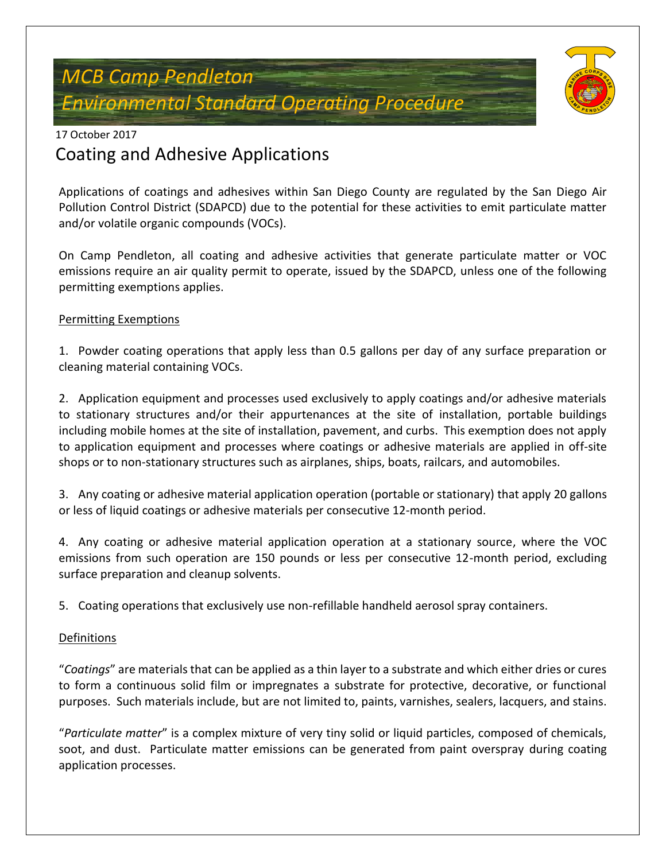# *MCB Camp Pendleton Environmental Standard Operating Procedure*



### 17 October 2017

## Coating and Adhesive Applications

Applications of coatings and adhesives within San Diego County are regulated by the San Diego Air Pollution Control District (SDAPCD) due to the potential for these activities to emit particulate matter and/or volatile organic compounds (VOCs).

On Camp Pendleton, all coating and adhesive activities that generate particulate matter or VOC emissions require an air quality permit to operate, issued by the SDAPCD, unless one of the following permitting exemptions applies.

#### Permitting Exemptions

1. Powder coating operations that apply less than 0.5 gallons per day of any surface preparation or cleaning material containing VOCs.

2. Application equipment and processes used exclusively to apply coatings and/or adhesive materials to stationary structures and/or their appurtenances at the site of installation, portable buildings including mobile homes at the site of installation, pavement, and curbs. This exemption does not apply to application equipment and processes where coatings or adhesive materials are applied in off-site shops or to non-stationary structures such as airplanes, ships, boats, railcars, and automobiles.

3. Any coating or adhesive material application operation (portable or stationary) that apply 20 gallons or less of liquid coatings or adhesive materials per consecutive 12-month period.

4. Any coating or adhesive material application operation at a stationary source, where the VOC emissions from such operation are 150 pounds or less per consecutive 12-month period, excluding surface preparation and cleanup solvents.

5. Coating operations that exclusively use non-refillable handheld aerosol spray containers.

#### **Definitions**

"*Coatings*" are materials that can be applied as a thin layer to a substrate and which either dries or cures to form a continuous solid film or impregnates a substrate for protective, decorative, or functional purposes. Such materials include, but are not limited to, paints, varnishes, sealers, lacquers, and stains.

"*Particulate matter*" is a complex mixture of very tiny solid or liquid particles, composed of chemicals, soot, and dust. Particulate matter emissions can be generated from paint overspray during coating application processes.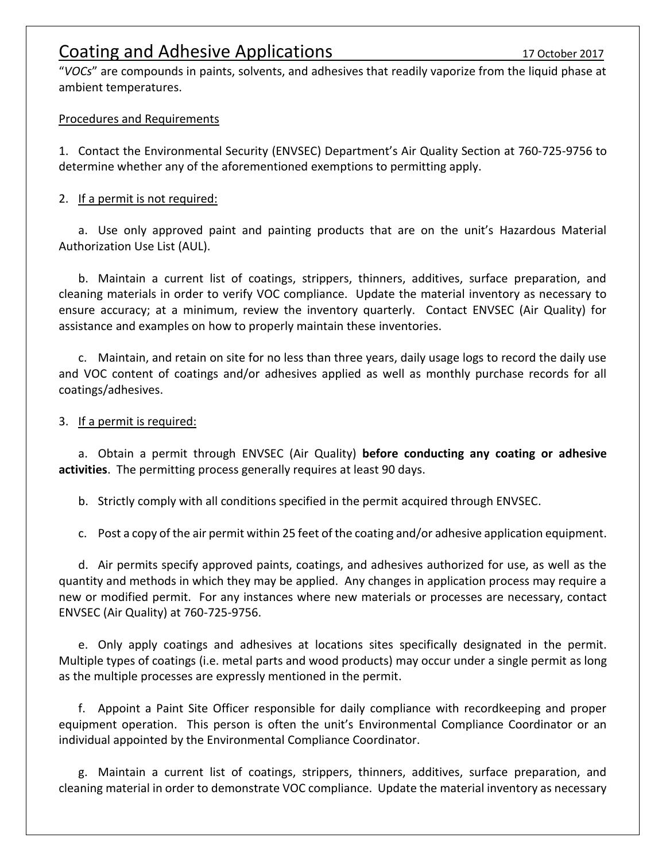### Coating and Adhesive Applications 17 October 2017

"*VOCs*" are compounds in paints, solvents, and adhesives that readily vaporize from the liquid phase at ambient temperatures.

#### Procedures and Requirements

1. Contact the Environmental Security (ENVSEC) Department's Air Quality Section at 760-725-9756 to determine whether any of the aforementioned exemptions to permitting apply.

#### 2. If a permit is not required:

a. Use only approved paint and painting products that are on the unit's Hazardous Material Authorization Use List (AUL).

b. Maintain a current list of coatings, strippers, thinners, additives, surface preparation, and cleaning materials in order to verify VOC compliance. Update the material inventory as necessary to ensure accuracy; at a minimum, review the inventory quarterly. Contact ENVSEC (Air Quality) for assistance and examples on how to properly maintain these inventories.

c. Maintain, and retain on site for no less than three years, daily usage logs to record the daily use and VOC content of coatings and/or adhesives applied as well as monthly purchase records for all coatings/adhesives.

#### 3. If a permit is required:

a. Obtain a permit through ENVSEC (Air Quality) **before conducting any coating or adhesive activities**. The permitting process generally requires at least 90 days.

b. Strictly comply with all conditions specified in the permit acquired through ENVSEC.

c. Post a copy of the air permit within 25 feet of the coating and/or adhesive application equipment.

d. Air permits specify approved paints, coatings, and adhesives authorized for use, as well as the quantity and methods in which they may be applied. Any changes in application process may require a new or modified permit. For any instances where new materials or processes are necessary, contact ENVSEC (Air Quality) at 760-725-9756.

e. Only apply coatings and adhesives at locations sites specifically designated in the permit. Multiple types of coatings (i.e. metal parts and wood products) may occur under a single permit as long as the multiple processes are expressly mentioned in the permit.

f. Appoint a Paint Site Officer responsible for daily compliance with recordkeeping and proper equipment operation. This person is often the unit's Environmental Compliance Coordinator or an individual appointed by the Environmental Compliance Coordinator.

g. Maintain a current list of coatings, strippers, thinners, additives, surface preparation, and cleaning material in order to demonstrate VOC compliance. Update the material inventory as necessary